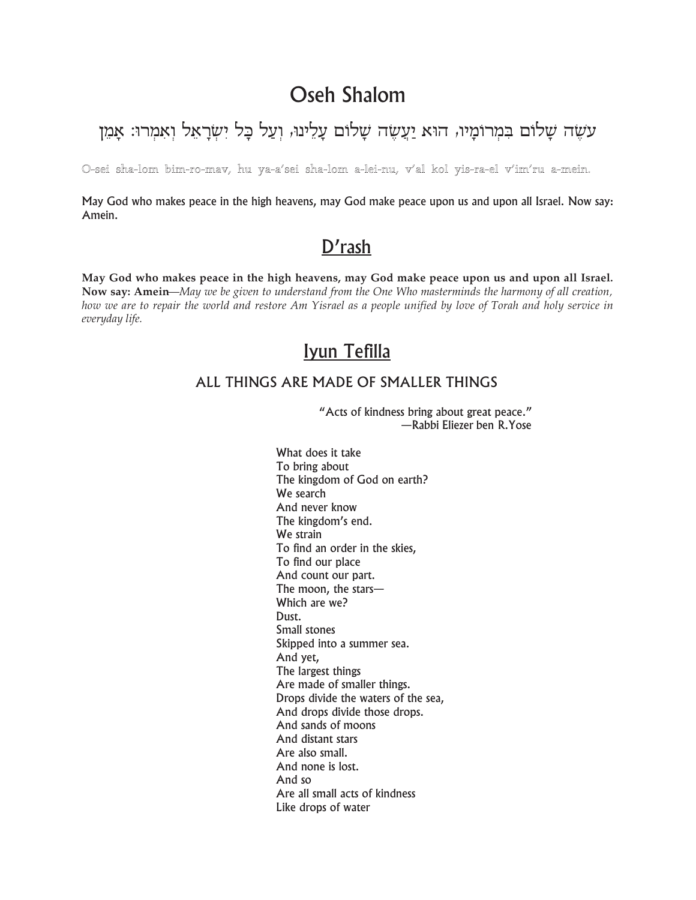# Oseh Shalom

# עשָה שָלום במרומָיו, הוּא יַעֲשֶה שָלוֹם עָלֵינוּ, וִעַל כָּל יִשְׂרָאֵל וְאִמְרוּ: אָמֵן

#### O-sei sha-lom bim-ro-mav, hu ya-a'sei sha-lom a-lei-nu, v'al kol yis-ra-el v'im'ru a-mein.

May God who makes peace in the high heavens, may God make peace upon us and upon all Israel. Now say: Amein.

### D'rash

May God who makes peace in the high heavens, may God make peace upon us and upon all Israel. Now say: Amein—May we be given to understand from the One Who masterminds the harmony of all creation, how we are to repair the world and restore Am Yisrael as a people unified by love of Torah and holy service in everyday life.

## Iyun Tefilla

#### ALL THINGS ARE MADE OF SMALLER THINGS

"Acts of kindness bring about great peace." -Rabbi Eliezer ben R.Yose

What does it take To bring about The kingdom of God on earth? We search And never know The kingdom's end. We strain To find an order in the skies, To find our place And count our part. The moon, the stars-Which are we? Dust. Small stones Skipped into a summer sea. And yet, The largest things Are made of smaller things. Drops divide the waters of the sea, And drops divide those drops. And sands of moons And distant stars Are also small. And none is lost. And so Are all small acts of kindness Like drops of water